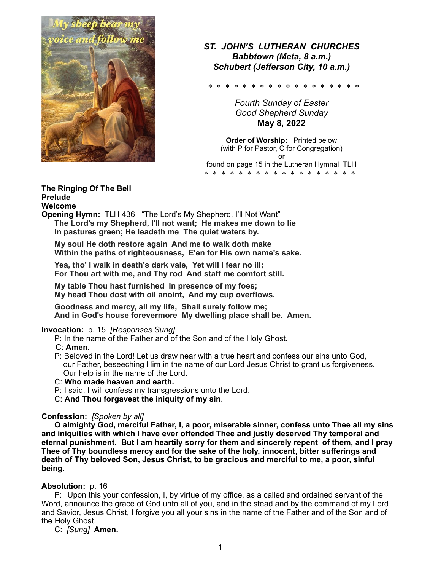

*ST. JOHN'S LUTHERAN CHURCHES Babbtown (Meta, 8 a.m.) Schubert (Jefferson City, 10 a.m.)* 

\* \* \* \* \* \* \* \* \* \* \* \* \* \* \* \* \* \*

*Fourth Sunday of Easter Good Shepherd Sunday*  **May 8, 2022** 

**Order of Worship:** Printed below (with P for Pastor, C for Congregation) or found on page 15 in the Lutheran Hymnal TLH \* \* \* \* \* \* \* \* \* \* \* \* \* \* \* \* \* \*

## **The Ringing Of The Bell**

#### **Prelude Welcome**

**Opening Hymn:** TLH 436 "The Lord's My Shepherd, I'll Not Want"  **The Lord's my Shepherd, I'll not want; He makes me down to lie In pastures green; He leadeth me The quiet waters by.** 

 **My soul He doth restore again And me to walk doth make Within the paths of righteousness, E'en for His own name's sake.** 

 **Yea, tho' I walk in death's dark vale, Yet will I fear no ill; For Thou art with me, and Thy rod And staff me comfort still.** 

 **My table Thou hast furnished In presence of my foes; My head Thou dost with oil anoint, And my cup overflows.** 

 **Goodness and mercy, all my life, Shall surely follow me; And in God's house forevermore My dwelling place shall be. Amen.**

## **Invocation:** p. 15 *[Responses Sung]*

P: In the name of the Father and of the Son and of the Holy Ghost.

- C: **Amen.**
- P: Beloved in the Lord! Let us draw near with a true heart and confess our sins unto God, our Father, beseeching Him in the name of our Lord Jesus Christ to grant us forgiveness. Our help is in the name of the Lord.
- C: **Who made heaven and earth.**
- P: I said, I will confess my transgressions unto the Lord.
- C: **And Thou forgavest the iniquity of my sin**.

## **Confession:** *[Spoken by all]*

 **O almighty God, merciful Father, I, a poor, miserable sinner, confess unto Thee all my sins and iniquities with which I have ever offended Thee and justly deserved Thy temporal and eternal punishment. But I am heartily sorry for them and sincerely repent of them, and I pray Thee of Thy boundless mercy and for the sake of the holy, innocent, bitter sufferings and death of Thy beloved Son, Jesus Christ, to be gracious and merciful to me, a poor, sinful being.** 

## **Absolution:** p. 16

 P:Upon this your confession, I, by virtue of my office, as a called and ordained servant of the Word, announce the grace of God unto all of you, and in the stead and by the command of my Lord and Savior, Jesus Christ, I forgive you all your sins in the name of the Father and of the Son and of the Holy Ghost.

C: *[Sung]* **Amen.**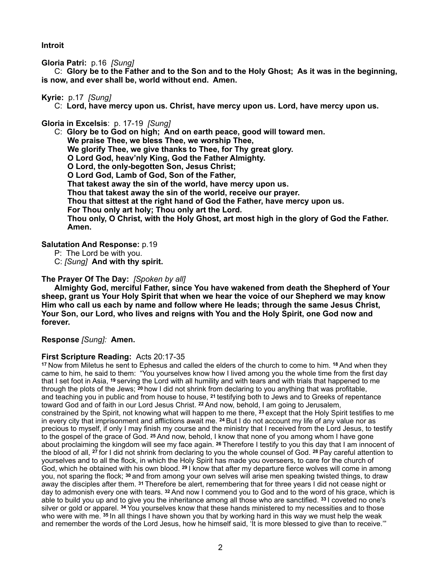**Introit** 

**Gloria Patri:** p.16 *[Sung]* 

 C: **Glory be to the Father and to the Son and to the Holy Ghost; As it was in the beginning, is now, and ever shall be, world without end. Amen.**

## **Kyrie:** p.17*[Sung]*

C: **Lord, have mercy upon us. Christ, have mercy upon us. Lord, have mercy upon us.** 

**Gloria in Excelsis**:p. 17-19 *[Sung]* 

 C: **Glory be to God on high; And on earth peace, good will toward men. We praise Thee, we bless Thee, we worship Thee, We glorify Thee, we give thanks to Thee, for Thy great glory. O Lord God, heav'nly King, God the Father Almighty. O Lord, the only-begotten Son, Jesus Christ; O Lord God, Lamb of God, Son of the Father, That takest away the sin of the world, have mercy upon us. Thou that takest away the sin of the world, receive our prayer. Thou that sittest at the right hand of God the Father, have mercy upon us. For Thou only art holy; Thou only art the Lord. Thou only, O Christ, with the Holy Ghost, art most high in the glory of God the Father. Amen.** 

## **Salutation And Response:** p.19

- P: The Lord be with you.
- C: *[Sung]* **And with thy spirit.**

## **The Prayer Of The Day:** *[Spoken by all]*

 **Almighty God, merciful Father, since You have wakened from death the Shepherd of Your sheep, grant us Your Holy Spirit that when we hear the voice of our Shepherd we may know Him who call us each by name and follow where He leads; through the same Jesus Christ, Your Son, our Lord, who lives and reigns with You and the Holy Spirit, one God now and forever.** 

**Response** *[Sung]:* **Amen.** 

#### **First Scripture Reading:** Acts 20:17-35

**<sup>17</sup>**Now from Miletus he sent to Ephesus and called the elders of the church to come to him. **18** And when they came to him, he said to them: "You yourselves know how I lived among you the whole time from the first day that I set foot in Asia, **19** serving the Lord with all humility and with tears and with trials that happened to me through the plots of the Jews; **20** how I did not shrink from declaring to you anything that was profitable, and teaching you in public and from house to house, **21** testifying both to Jews and to Greeks of repentance toward God and of faith in our Lord Jesus Christ. **22** And now, behold, I am going to Jerusalem, constrained by the Spirit, not knowing what will happen to me there, **23** except that the Holy Spirit testifies to me in every city that imprisonment and afflictions await me. **24** But I do not account my life of any value nor as precious to myself, if only I may finish my course and the ministry that I received from the Lord Jesus, to testify to the gospel of the grace of God. **25** And now, behold, I know that none of you among whom I have gone about proclaiming the kingdom will see my face again. **26** Therefore I testify to you this day that I am innocent of the blood of all, **27** for I did not shrink from declaring to you the whole counsel of God. **28** Pay careful attention to yourselves and to all the flock, in which the Holy Spirit has made you overseers, to care for the church of God, which he obtained with his own blood. **29** I know that after my departure fierce wolves will come in among you, not sparing the flock; **30** and from among your own selves will arise men speaking twisted things, to draw away the disciples after them. **31** Therefore be alert, remembering that for three years I did not cease night or day to admonish every one with tears. **32** And now I commend you to God and to the word of his grace, which is able to build you up and to give you the inheritance among all those who are sanctified. **33** I coveted no one's silver or gold or apparel. **34** You yourselves know that these hands ministered to my necessities and to those who were with me. **35** In all things I have shown you that by working hard in this way we must help the weak and remember the words of the Lord Jesus, how he himself said, 'It is more blessed to give than to receive.'"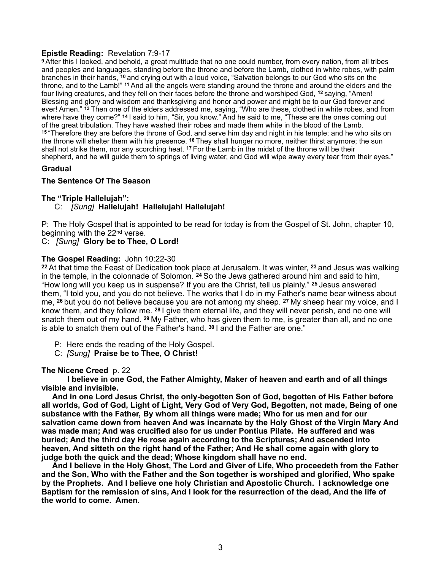## **Epistle Reading:** Revelation 7:9-17

**<sup>9</sup>**After this I looked, and behold, a great multitude that no one could number, from every nation, from all tribes and peoples and languages, standing before the throne and before the Lamb, clothed in white robes, with palm branches in their hands, **10** and crying out with a loud voice, "Salvation belongs to our God who sits on the throne, and to the Lamb!" **11** And all the angels were standing around the throne and around the elders and the four living creatures, and they fell on their faces before the throne and worshiped God, **12** saying, "Amen! Blessing and glory and wisdom and thanksgiving and honor and power and might be to our God forever and ever! Amen." **13** Then one of the elders addressed me, saying, "Who are these, clothed in white robes, and from where have they come?" **14** I said to him, "Sir, you know." And he said to me, "These are the ones coming out of the great tribulation. They have washed their robes and made them white in the blood of the Lamb. **<sup>15</sup>**"Therefore they are before the throne of God, and serve him day and night in his temple; and he who sits on the throne will shelter them with his presence. **16** They shall hunger no more, neither thirst anymore; the sun shall not strike them, nor any scorching heat. **17** For the Lamb in the midst of the throne will be their shepherd, and he will guide them to springs of living water, and God will wipe away every tear from their eyes."

## **Gradual**

## **The Sentence Of The Season**

## **The "Triple Hallelujah":**

## C: *[Sung]* **Hallelujah! Hallelujah! Hallelujah!**

P: The Holy Gospel that is appointed to be read for today is from the Gospel of St. John, chapter 10, beginning with the 22nd verse.

### C:*[Sung]* **Glory be to Thee, O Lord!**

#### **The Gospel Reading:** John 10:22-30

**<sup>22</sup>**At that time the Feast of Dedication took place at Jerusalem. It was winter, **23** and Jesus was walking in the temple, in the colonnade of Solomon. **24** So the Jews gathered around him and said to him, "How long will you keep us in suspense? If you are the Christ, tell us plainly." **25** Jesus answered them, "I told you, and you do not believe. The works that I do in my Father's name bear witness about me, **26** but you do not believe because you are not among my sheep. **27** My sheep hear my voice, and I know them, and they follow me. **28** I give them eternal life, and they will never perish, and no one will snatch them out of my hand. **29** My Father, who has given them to me, is greater than all, and no one is able to snatch them out of the Father's hand. **30** I and the Father are one."

- P: Here ends the reading of the Holy Gospel.
- C:*[Sung]* **Praise be to Thee, O Christ!**

## **The Nicene Creed** p. 22

 **I believe in one God, the Father Almighty, Maker of heaven and earth and of all things visible and invisible.** 

 **And in one Lord Jesus Christ, the only-begotten Son of God, begotten of His Father before all worlds, God of God, Light of Light, Very God of Very God, Begotten, not made, Being of one substance with the Father, By whom all things were made; Who for us men and for our salvation came down from heaven And was incarnate by the Holy Ghost of the Virgin Mary And was made man; And was crucified also for us under Pontius Pilate. He suffered and was buried; And the third day He rose again according to the Scriptures; And ascended into heaven, And sitteth on the right hand of the Father; And He shall come again with glory to judge both the quick and the dead; Whose kingdom shall have no end.** 

 **And I believe in the Holy Ghost, The Lord and Giver of Life, Who proceedeth from the Father and the Son, Who with the Father and the Son together is worshiped and glorified, Who spake by the Prophets. And I believe one holy Christian and Apostolic Church. I acknowledge one Baptism for the remission of sins, And I look for the resurrection of the dead, And the life of the world to come. Amen.**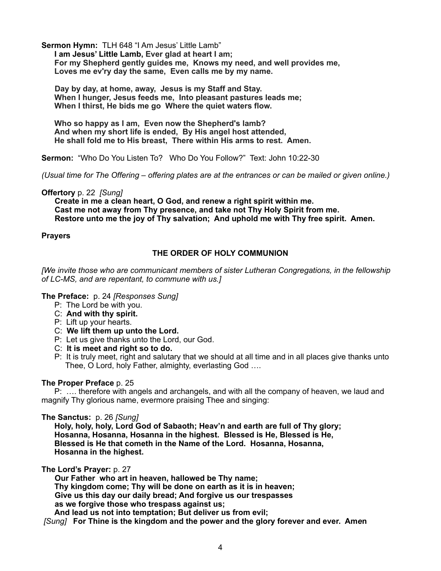**Sermon Hymn:** TLH 648 "I Am Jesus' Little Lamb"

 **I am Jesus' Little Lamb, Ever glad at heart I am; For my Shepherd gently guides me, Knows my need, and well provides me, Loves me ev'ry day the same, Even calls me by my name.** 

 **Day by day, at home, away, Jesus is my Staff and Stay. When I hunger, Jesus feeds me, Into pleasant pastures leads me; When I thirst, He bids me go Where the quiet waters flow.** 

 **Who so happy as I am, Even now the Shepherd's lamb? And when my short life is ended, By His angel host attended, He shall fold me to His breast, There within His arms to rest. Amen.** 

**Sermon:** "Who Do You Listen To? Who Do You Follow?" Text: John 10:22-30

*(Usual time for The Offering – offering plates are at the entrances or can be mailed or given online.)* 

**Offertory** p. 22 *[Sung]*

 **Create in me a clean heart, O God, and renew a right spirit within me. Cast me not away from Thy presence, and take not Thy Holy Spirit from me. Restore unto me the joy of Thy salvation; And uphold me with Thy free spirit. Amen.**

#### **Prayers**

## **THE ORDER OF HOLY COMMUNION**

*[We invite those who are communicant members of sister Lutheran Congregations, in the fellowship of LC-MS, and are repentant, to commune with us.]* 

#### **The Preface:** p. 24 *[Responses Sung]*

- P: The Lord be with you.
- C: **And with thy spirit.**
- P: Lift up your hearts.
- C: **We lift them up unto the Lord.**
- P: Let us give thanks unto the Lord, our God.
- C: **It is meet and right so to do.**
- P:It is truly meet, right and salutary that we should at all time and in all places give thanks unto Thee, O Lord, holy Father, almighty, everlasting God ….

#### **The Proper Preface** p. 25

 P: …. therefore with angels and archangels, and with all the company of heaven, we laud and magnify Thy glorious name, evermore praising Thee and singing:

**The Sanctus:** p. 26 *[Sung]*

 **Holy, holy, holy, Lord God of Sabaoth; Heav'n and earth are full of Thy glory; Hosanna, Hosanna, Hosanna in the highest. Blessed is He, Blessed is He, Blessed is He that cometh in the Name of the Lord. Hosanna, Hosanna, Hosanna in the highest.** 

**The Lord's Prayer:** p. 27

 **Our Father who art in heaven, hallowed be Thy name; Thy kingdom come; Thy will be done on earth as it is in heaven; Give us this day our daily bread; And forgive us our trespasses as we forgive those who trespass against us; And lead us not into temptation; But deliver us from evil;** 

 *[Sung]* **For Thine is the kingdom and the power and the glory forever and ever. Am***e***n**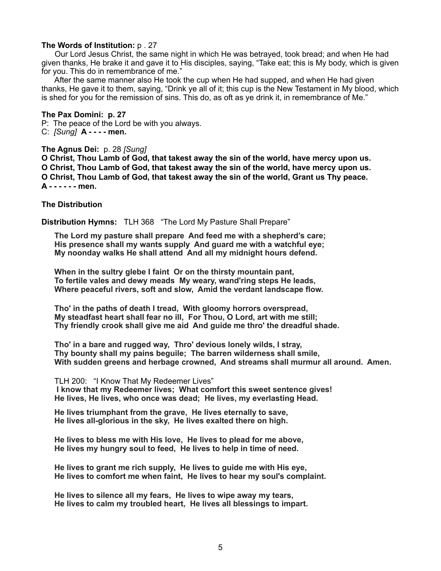#### **The Words of Institution:** p . 27

Our Lord Jesus Christ, the same night in which He was betrayed, took bread; and when He had given thanks, He brake it and gave it to His disciples, saying, "Take eat; this is My body, which is given for you. This do in remembrance of me."

 After the same manner also He took the cup when He had supped, and when He had given thanks, He gave it to them, saying, "Drink ye all of it; this cup is the New Testament in My blood, which is shed for you for the remission of sins. This do, as oft as ye drink it, in remembrance of Me."

**The Pax Domini: p. 27**  P: The peace of the Lord be with you always. C: *[Sung]* **A - - - - men.** 

#### **The Agnus Dei:** p. 28 *[Sung]*

**O Christ, Thou Lamb of God, that takest away the sin of the world, have mercy upon us. O Christ, Thou Lamb of God, that takest away the sin of the world, have mercy upon us. O Christ, Thou Lamb of God, that takest away the sin of the world, Grant us Thy peace. A - - - - - - men.** 

#### **The Distribution**

**Distribution Hymns:** TLH 368 "The Lord My Pasture Shall Prepare"

 **The Lord my pasture shall prepare And feed me with a shepherd's care; His presence shall my wants supply And guard me with a watchful eye; My noonday walks He shall attend And all my midnight hours defend.** 

 **When in the sultry glebe I faint Or on the thirsty mountain pant, To fertile vales and dewy meads My weary, wand'ring steps He leads, Where peaceful rivers, soft and slow, Amid the verdant landscape flow.** 

 **Tho' in the paths of death I tread, With gloomy horrors overspread, My steadfast heart shall fear no ill, For Thou, O Lord, art with me still; Thy friendly crook shall give me aid And guide me thro' the dreadful shade.** 

 **Tho' in a bare and rugged way, Thro' devious lonely wilds, I stray, Thy bounty shall my pains beguile; The barren wilderness shall smile, With sudden greens and herbage crowned, And streams shall murmur all around. Amen.** 

 TLH 200: "I Know That My Redeemer Lives"  **I know that my Redeemer lives; What comfort this sweet sentence gives! He lives, He lives, who once was dead; He lives, my everlasting Head.**

 **He lives triumphant from the grave, He lives eternally to save, He lives all-glorious in the sky, He lives exalted there on high.** 

 **He lives to bless me with His love, He lives to plead for me above, He lives my hungry soul to feed, He lives to help in time of need.** 

 **He lives to grant me rich supply, He lives to guide me with His eye, He lives to comfort me when faint, He lives to hear my soul's complaint.** 

 **He lives to silence all my fears, He lives to wipe away my tears, He lives to calm my troubled heart, He lives all blessings to impart.**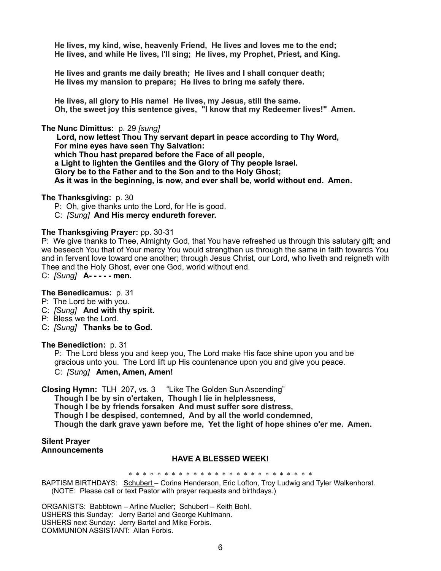**He lives, my kind, wise, heavenly Friend, He lives and loves me to the end; He lives, and while He lives, I'll sing; He lives, my Prophet, Priest, and King.** 

 **He lives and grants me daily breath; He lives and I shall conquer death; He lives my mansion to prepare; He lives to bring me safely there.** 

 **He lives, all glory to His name! He lives, my Jesus, still the same. Oh, the sweet joy this sentence gives, "I know that my Redeemer lives!" Amen.** 

**The Nunc Dimittus:** p. 29 *[sung]*

**Lord, now lettest Thou Thy servant depart in peace according to Thy Word, For mine eyes have seen Thy Salvation: which Thou hast prepared before the Face of all people, a Light to lighten the Gentiles and the Glory of Thy people Israel. Glory be to the Father and to the Son and to the Holy Ghost; As it was in the beginning, is now, and ever shall be, world without end. Amen.**

**The Thanksgiving:** p. 30

P: Oh, give thanks unto the Lord, for He is good.

C: *[Sung]* **And His mercy endureth forever.** 

#### **The Thanksgiving Prayer:** pp. 30-31

P: We give thanks to Thee, Almighty God, that You have refreshed us through this salutary gift; and we beseech You that of Your mercy You would strengthen us through the same in faith towards You and in fervent love toward one another; through Jesus Christ, our Lord, who liveth and reigneth with Thee and the Holy Ghost, ever one God, world without end.

C: *[Sung]* **A- - - - - men.** 

### **The Benedicamus:** p. 31

P: The Lord be with you.

C: *[Sung]* **And with thy spirit.**

- P: Bless we the Lord.
- C: *[Sung]* **Thanks be to God.**

**The Benediction:** p. 31

 P: The Lord bless you and keep you, The Lord make His face shine upon you and be gracious unto you. The Lord lift up His countenance upon you and give you peace. C:*[Sung]* **Amen, Amen, Amen!**

**Closing Hymn:** TLH 207, vs. 3 "Like The Golden Sun Ascending" **Though I be by sin o'ertaken, Though I lie in helplessness, Though I be by friends forsaken And must suffer sore distress, Though I be despised, contemned, And by all the world condemned, Though the dark grave yawn before me, Yet the light of hope shines o'er me. Amen.** 

#### **Silent Prayer Announcements**

#### **HAVE A BLESSED WEEK!**

\* \* \* \* \* \* \* \* \* \* \* \* \* \* \* \* \* \* \* \* \* \* \* \* \* \* BAPTISM BIRTHDAYS: Schubert - Corina Henderson, Eric Lofton, Troy Ludwig and Tyler Walkenhorst. (NOTE: Please call or text Pastor with prayer requests and birthdays.)

ORGANISTS: Babbtown – Arline Mueller; Schubert – Keith Bohl. USHERS this Sunday: Jerry Bartel and George Kuhlmann. USHERS next Sunday: Jerry Bartel and Mike Forbis. COMMUNION ASSISTANT: Allan Forbis.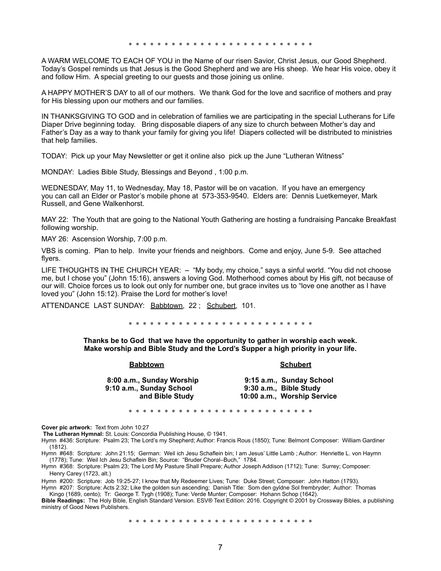\* \* \* \* \* \* \* \* \* \* \* \* \* \* \* \* \* \* \* \* \* \* \* \* \* \*

A WARM WELCOME TO EACH OF YOU in the Name of our risen Savior, Christ Jesus, our Good Shepherd. Today's Gospel reminds us that Jesus is the Good Shepherd and we are His sheep. We hear His voice, obey it and follow Him. A special greeting to our guests and those joining us online.

A HAPPY MOTHER'S DAY to all of our mothers. We thank God for the love and sacrifice of mothers and pray for His blessing upon our mothers and our families.

IN THANKSGIVING TO GOD and in celebration of families we are participating in the special Lutherans for Life Diaper Drive beginning today. Bring disposable diapers of any size to church between Mother's day and Father's Day as a way to thank your family for giving you life! Diapers collected will be distributed to ministries that help families.

TODAY: Pick up your May Newsletter or get it online also pick up the June "Lutheran Witness"

MONDAY: Ladies Bible Study, Blessings and Beyond , 1:00 p.m.

WEDNESDAY, May 11, to Wednesday, May 18, Pastor will be on vacation. If you have an emergency you can call an Elder or Pastor's mobile phone at 573-353-9540. Elders are: Dennis Luetkemeyer, Mark Russell, and Gene Walkenhorst.

MAY 22: The Youth that are going to the National Youth Gathering are hosting a fundraising Pancake Breakfast following worship.

MAY 26: Ascension Worship, 7:00 p.m.

VBS is coming. Plan to help. Invite your friends and neighbors. Come and enjoy, June 5-9. See attached flyers.

LIFE THOUGHTS IN THE CHURCH YEAR: **–** "My body, my choice," says a sinful world. "You did not choose me, but I chose you" (John 15:16), answers a loving God. Motherhood comes about by His gift, not because of our will. Choice forces us to look out only for number one, but grace invites us to "love one another as I have loved you" (John 15:12). Praise the Lord for mother's love!

ATTENDANCE LAST SUNDAY: Babbtown, 22; Schubert, 101.

\* \* \* \* \* \* \* \* \* \* \* \* \* \* \* \* \* \* \*

**Thanks be to God that we have the opportunity to gather in worship each week. Make worship and Bible Study and the Lord's Supper a high priority in your life.** 

**Babbtown Schubert** 

| 8:00 a.m., Sunday Worship | 9:15 a.m., Sunday School    |
|---------------------------|-----------------------------|
| 9:10 a.m., Sunday School  | 9:30 a.m., Bible Study      |
| and Bible Study           | 10:00 a.m., Worship Service |

\* \* \* \* \* \* \* \* \* \* \* \* \* \* \* \* \* \* \* \* \* \* \* \* \* \*

**Cover pic artwork:** Text from John 10:27 **The Lutheran Hymnal:** St. Louis: Concordia Publishing House, © 1941.

Hymn #436: Scripture: Psalm 23; The Lord's my Shepherd; Author: Francis Rous (1850); Tune: Belmont Composer: William Gardiner (1812).

Hymn #648: Scripture: John 21:15; German: Weil ich Jesu Schaflein bin; I am Jesus' Little Lamb ; Author: Henriette L. von Haymn (1778); Tune: Weil Ich Jesu Schaflein Bin; Source: "Bruder Choral–Buch," 1784.

Hymn #368: Scripture: Psalm 23; The Lord My Pasture Shall Prepare; Author Joseph Addison (1712); Tune: Surrey; Composer: Henry Carey (1723, alt.)

Hymn #200: Scripture: Job 19:25-27; I know that My Redeemer Lives; Tune: Duke Street; Composer: John Hatton (1793). Hymn #207: Scripture: Acts 2:32; Like the golden sun ascending; Danish Title: Som den gyldne Sol frembryder; Author: Thomas

 Kingo (1689, cento); Tr: George T. Tygh (1908); Tune: Verde Munter; Composer: Hohann Schop (1642). **Bible Readings:** The Holy Bible, English Standard Version. ESV® Text Edition: 2016. Copyright © 2001 by [Crossway Bibles, a publishing](https://www.crossway.org/)  [ministry of Good News Publishers.](https://www.crossway.org/)

\* \* \* \* \* \* \* \* \* \* \* \* \* \* \* \* \* \* \* \* \* \* \* \* \* \*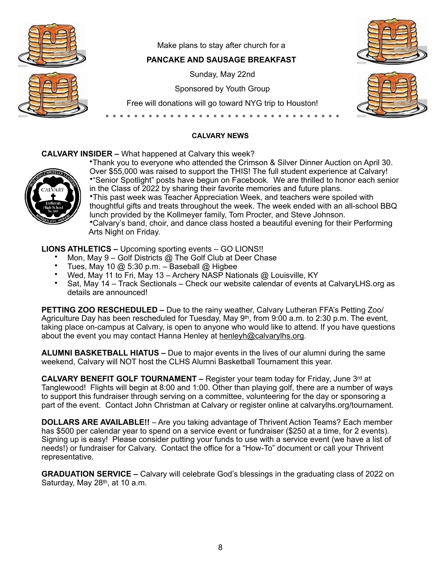

Make plans to stay after church for a

## **PANCAKE AND SAUSAGE BREAKFAST**

Sunday, May 22nd

Sponsored by Youth Group

Free will donations will go toward NYG trip to Houston!

\* \* \* \* \* \* \* \* \* \* \* \* \* \* \* \* \* \* \* \* \* \* \* \* \* \* \* \* \* \* \* \* \*





## **CALVARY NEWS**

## **CALVARY INSIDER –** What happened at Calvary this week?



•Thank you to everyone who attended the Crimson & Silver Dinner Auction on April 30. Over \$55,000 was raised to support the THIS! The full student experience at Calvary! •"Senior Spotlight" posts have begun on Facebook. We are thrilled to honor each senior in the Class of 2022 by sharing their favorite memories and future plans. •This past week was Teacher Appreciation Week, and teachers were spoiled with thoughtful gifts and treats throughout the week. The week ended with an all-school BBQ lunch provided by the Kollmeyer family, Tom Procter, and Steve Johnson. •Calvary's band, choir, and dance class hosted a beautiful evening for their Performing Arts Night on Friday.

**LIONS ATHLETICS –** Upcoming sporting events – GO LIONS!!

- Mon, May 9 Golf Districts @ The Golf Club at Deer Chase
- Tues, May 10 @ 5:30 p.m. Baseball @ Higbee
- Wed, May 11 to Fri, May 13 Archery NASP Nationals @ Louisville, KY
- Sat, May 14 Track Sectionals Check our website calendar of events at CalvaryLHS.org as details are announced!

**PETTING ZOO RESCHEDULED –** Due to the rainy weather, Calvary Lutheran FFA's Petting Zoo/ Agriculture Day has been rescheduled for Tuesday, May  $9<sup>th</sup>$ , from 9:00 a.m. to 2:30 p.m. The event, taking place on-campus at Calvary, is open to anyone who would like to attend. If you have questions about the event you may contact Hanna Henley at [henleyh@calvarylhs.org](mailto:henleyh@calvarylhs.org).

**ALUMNI BASKETBALL HIATUS –** Due to major events in the lives of our alumni during the same weekend, Calvary will NOT host the CLHS Alumni Basketball Tournament this year.

**CALVARY BENEFIT GOLF TOURNAMENT –** Register your team today for Friday, June 3rd at Tanglewood! Flights will begin at 8:00 and 1:00. Other than playing golf, there are a number of ways to support this fundraiser through serving on a committee, volunteering for the day or sponsoring a part of the event. Contact John Christman at Calvary or register online at calvarylhs.org/tournament.

**DOLLARS ARE AVAILABLE!!** – Are you taking advantage of Thrivent Action Teams? Each member has \$500 per calendar year to spend on a service event or fundraiser (\$250 at a time, for 2 events). Signing up is easy! Please consider putting your funds to use with a service event (we have a list of needs!) or fundraiser for Calvary. Contact the office for a "How-To" document or call your Thrivent representative.

**GRADUATION SERVICE –** Calvary will celebrate God's blessings in the graduating class of 2022 on Saturday, May 28<sup>th</sup>, at 10 a.m.